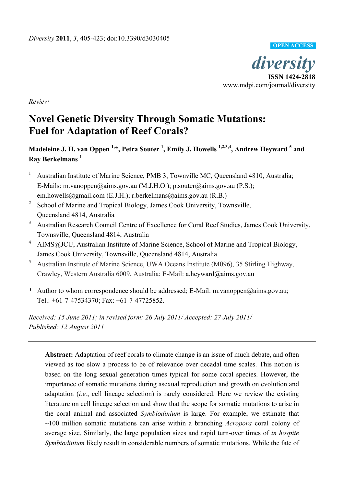

**OPEN ACCESS**

*Review*

# **Novel Genetic Diversity Through Somatic Mutations: Fuel for Adaptation of Reef Corals?**

**Madeleine J. H. van Oppen 1,\*, Petra Souter <sup>1</sup> , Emily J. Howells 1,2,3,4, Andrew Heyward <sup>5</sup> and Ray Berkelmans <sup>1</sup>**

- <sup>1</sup> Australian Institute of Marine Science, PMB 3, Townville MC, Queensland 4810, Australia; E-Mails: m.vanoppen@aims.gov.au (M.J.H.O.); p.souter@aims.gov.au (P.S.); em.howells@gmail.com (E.J.H.); r.berkelmans@aims.gov.au (R.B.)
- <sup>2</sup> School of Marine and Tropical Biology, James Cook University, Townsville, Queensland 4814, Australia
- <sup>3</sup> Australian Research Council Centre of Excellence for Coral Reef Studies, James Cook University, Townsville, Queensland 4814, Australia
- <sup>4</sup> AIMS@JCU, Australian Institute of Marine Science, School of Marine and Tropical Biology, James Cook University, Townsville, Queensland 4814, Australia
- <sup>5</sup> Australian Institute of Marine Science, UWA Oceans Institute (M096), 35 Stirling Highway, Crawley, Western Australia 6009, Australia; E-Mail: a.heyward@aims.gov.au
- \* Author to whom correspondence should be addressed; E-Mail: m.vanoppen@aims.gov.au; Tel.: +61-7-47534370; Fax: +61-7-47725852.

*Received: 15 June 2011; in revised form: 26 July 2011/ Accepted: 27 July 2011/ Published: 12 August 2011*

**Abstract:** Adaptation of reef corals to climate change is an issue of much debate, and often viewed as too slow a process to be of relevance over decadal time scales. This notion is based on the long sexual generation times typical for some coral species. However, the importance of somatic mutations during asexual reproduction and growth on evolution and adaptation (*i.e.*, cell lineage selection) is rarely considered. Here we review the existing literature on cell lineage selection and show that the scope for somatic mutations to arise in the coral animal and associated *Symbiodinium* is large. For example, we estimate that ~100 million somatic mutations can arise within a branching *Acropora* coral colony of average size. Similarly, the large population sizes and rapid turn-over times of *in hospite Symbiodinium* likely result in considerable numbers of somatic mutations. While the fate of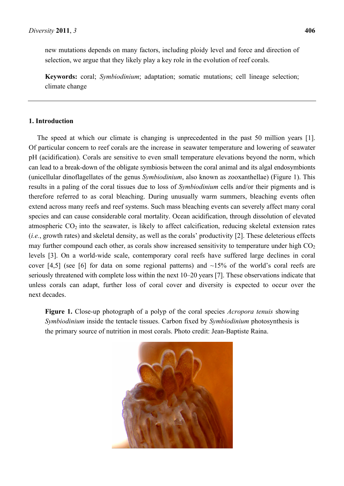new mutations depends on many factors, including ploidy level and force and direction of selection, we argue that they likely play a key role in the evolution of reef corals.

**Keywords:** coral; *Symbiodinium*; adaptation; somatic mutations; cell lineage selection; climate change

## **1. Introduction**

The speed at which our climate is changing is unprecedented in the past 50 million years [1]. Of particular concern to reef corals are the increase in seawater temperature and lowering of seawater pH (acidification). Corals are sensitive to even small temperature elevations beyond the norm, which can lead to a break-down of the obligate symbiosis between the coral animal and its algal endosymbionts (unicellular dinoflagellates of the genus *Symbiodinium*, also known as zooxanthellae) (Figure 1). This results in a paling of the coral tissues due to loss of *Symbiodinium* cells and/or their pigments and is therefore referred to as coral bleaching. During unusually warm summers, bleaching events often extend across many reefs and reef systems. Such mass bleaching events can severely affect many coral species and can cause considerable coral mortality. Ocean acidification, through dissolution of elevated atmospheric  $CO<sub>2</sub>$  into the seawater, is likely to affect calcification, reducing skeletal extension rates (*i.e.*, growth rates) and skeletal density, as well as the corals' productivity [2]. These deleterious effects may further compound each other, as corals show increased sensitivity to temperature under high  $CO<sub>2</sub>$ levels [3]. On a world-wide scale, contemporary coral reefs have suffered large declines in coral cover [4,5] (see [6] for data on some regional patterns) and  $\sim$ 15% of the world's coral reefs are seriously threatened with complete loss within the next 10–20 years [7]. These observations indicate that unless corals can adapt, further loss of coral cover and diversity is expected to occur over the next decades.

**Figure 1.** Close-up photograph of a polyp of the coral species *Acropora tenuis* showing *Symbiodinium* inside the tentacle tissues. Carbon fixed by *Symbiodinium* photosynthesis is the primary source of nutrition in most corals. Photo credit: Jean-Baptiste Raina.

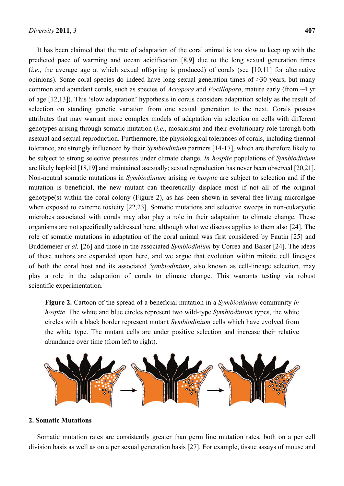It has been claimed that the rate of adaptation of the coral animal is too slow to keep up with the predicted pace of warming and ocean acidification [8,9] due to the long sexual generation times (*i.e.*, the average age at which sexual offspring is produced) of corals (see [10,11] for alternative opinions). Some coral species do indeed have long sexual generation times of >30 years, but many common and abundant corals, such as species of *Acropora* and *Pocillopora*, mature early (from ~4 yr of age [12,13]). This 'slow adaptation' hypothesis in corals considers adaptation solely as the result of selection on standing genetic variation from one sexual generation to the next. Corals possess attributes that may warrant more complex models of adaptation via selection on cells with different genotypes arising through somatic mutation (*i.e.*, mosaicism) and their evolutionary role through both asexual and sexual reproduction. Furthermore, the physiological tolerances of corals, including thermal tolerance, are strongly influenced by their *Symbiodinium* partners [14-17], which are therefore likely to be subject to strong selective pressures under climate change. *In hospite* populations of *Symbiodinium* are likely haploid [18,19] and maintained asexually; sexual reproduction has never been observed [20,21]. Non-neutral somatic mutations in *Symbiodinium* arising *in hospite* are subject to selection and if the mutation is beneficial, the new mutant can theoretically displace most if not all of the original genotype(s) within the coral colony (Figure 2), as has been shown in several free-living microalgae when exposed to extreme toxicity [22,23]. Somatic mutations and selective sweeps in non-eukaryotic microbes associated with corals may also play a role in their adaptation to climate change. These organisms are not specifically addressed here, although what we discuss applies to them also [24]. The role of somatic mutations in adaptation of the coral animal was first considered by Fautin [25] and Buddemeier *et al.* [26] and those in the associated *Symbiodinium* by Correa and Baker [24]. The ideas of these authors are expanded upon here, and we argue that evolution within mitotic cell lineages of both the coral host and its associated *Symbiodinium*, also known as cell-lineage selection, may play a role in the adaptation of corals to climate change. This warrants testing via robust scientific experimentation.

**Figure 2.** Cartoon of the spread of a beneficial mutation in a *Symbiodinium* community *in hospite*. The white and blue circles represent two wild-type *Symbiodinium* types, the white circles with a black border represent mutant *Symbiodinium* cells which have evolved from the white type. The mutant cells are under positive selection and increase their relative abundance over time (from left to right).



#### **2. Somatic Mutations**

Somatic mutation rates are consistently greater than germ line mutation rates, both on a per cell division basis as well as on a per sexual generation basis [27]. For example, tissue assays of mouse and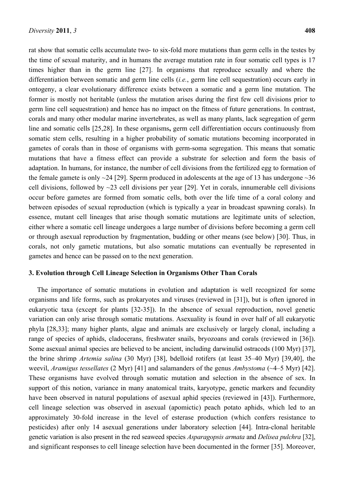rat show that somatic cells accumulate two- to six-fold more mutations than germ cells in the testes by the time of sexual maturity, and in humans the average mutation rate in four somatic cell types is 17 times higher than in the germ line [27]. In organisms that reproduce sexually and where the differentiation between somatic and germ line cells (*i.e.*, germ line cell sequestration) occurs early in ontogeny, a clear evolutionary difference exists between a somatic and a germ line mutation. The former is mostly not heritable (unless the mutation arises during the first few cell divisions prior to germ line cell sequestration) and hence has no impact on the fitness of future generations. In contrast, corals and many other modular marine invertebrates, as well as many plants, lack segregation of germ line and somatic cells [25,28]. In these organisms**,** germ cell differentiation occurs continuously from somatic stem cells, resulting in a higher probability of somatic mutations becoming incorporated in gametes of corals than in those of organisms with germ-soma segregation. This means that somatic mutations that have a fitness effect can provide a substrate for selection and form the basis of adaptation. In humans, for instance, the number of cell divisions from the fertilized egg to formation of the female gamete is only  $\sim$ 24 [29]. Sperm produced in adolescents at the age of 13 has undergone  $\sim$ 36 cell divisions, followed by  $\sim$ 23 cell divisions per year [29]. Yet in corals, innumerable cell divisions occur before gametes are formed from somatic cells, both over the life time of a coral colony and between episodes of sexual reproduction (which is typically a year in broadcast spawning corals). In essence, mutant cell lineages that arise though somatic mutations are legitimate units of selection, either where a somatic cell lineage undergoes a large number of divisions before becoming a germ cell or through asexual reproduction by fragmentation, budding or other means (see below) [30]. Thus, in corals, not only gametic mutations, but also somatic mutations can eventually be represented in gametes and hence can be passed on to the next generation.

## **3. Evolution through Cell Lineage Selection in Organisms Other Than Corals**

The importance of somatic mutations in evolution and adaptation is well recognized for some organisms and life forms, such as prokaryotes and viruses (reviewed in [31]), but is often ignored in eukaryotic taxa (except for plants [32-35]). In the absence of sexual reproduction, novel genetic variation can only arise through somatic mutations. Asexuality is found in over half of all eukaryotic phyla [28,33]; many higher plants, algae and animals are exclusively or largely clonal, including a range of species of aphids, cladocerans, freshwater snails, bryozoans and corals (reviewed in [36]). Some asexual animal species are believed to be ancient, including darwinulid ostracods (100 Myr) [37], the brine shrimp *Artemia salina* (30 Myr) [38], bdelloid rotifers (at least 35–40 Myr) [39,40], the weevil, *Aramigus tessellates* (2 Myr) [41] and salamanders of the genus *Ambystoma* (~4–5 Myr) [42]. These organisms have evolved through somatic mutation and selection in the absence of sex. In support of this notion, variance in many anatomical traits, karyotype, genetic markers and fecundity have been observed in natural populations of asexual aphid species (reviewed in [43]). Furthermore, cell lineage selection was observed in asexual (apomictic) peach potato aphids, which led to an approximately 30-fold increase in the level of esterase production (which confers resistance to pesticides) after only 14 asexual generations under laboratory selection [44]. Intra-clonal heritable genetic variation is also present in the red seaweed species *Asparagopsis armata* and *Delisea pulchra* [32], and significant responses to cell lineage selection have been documented in the former [35]. Moreover,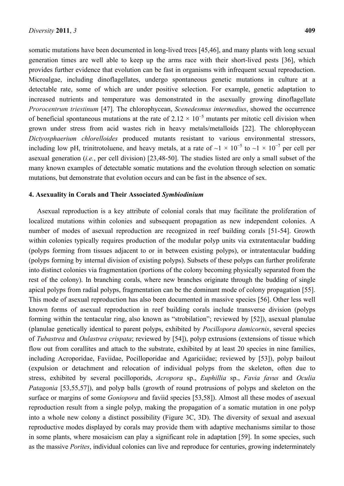somatic mutations have been documented in long-lived trees [45,46], and many plants with long sexual generation times are well able to keep up the arms race with their short-lived pests [36], which provides further evidence that evolution can be fast in organisms with infrequent sexual reproduction. Microalgae, including dinoflagellates, undergo spontaneous genetic mutations in culture at a detectable rate, some of which are under positive selection. For example, genetic adaptation to increased nutrients and temperature was demonstrated in the asexually growing dinoflagellate *Prorocentrum triestinum* [47]. The chlorophycean, *Scenedesmus intermedius*, showed the occurrence of beneficial spontaneous mutations at the rate of  $2.12 \times 10^{-5}$  mutants per mitotic cell division when grown under stress from acid wastes rich in heavy metals/metalloids [22]. The chlorophycean *Dictyosphaerium chlorelloides* produced mutants resistant to various environmental stressors, including low pH, trinitrotoluene, and heavy metals, at a rate of  $\sim$ 1  $\times$  10<sup>-5</sup> to  $\sim$ 1  $\times$  10<sup>-7</sup> per cell per asexual generation (*i.e.*, per cell division) [23,48-50]. The studies listed are only a small subset of the many known examples of detectable somatic mutations and the evolution through selection on somatic mutations, but demonstrate that evolution occurs and can be fast in the absence of sex.

#### **4. Asexuality in Corals and Their Associated** *Symbiodinium*

Asexual reproduction is a key attribute of colonial corals that may facilitate the proliferation of localized mutations within colonies and subsequent propagation as new independent colonies. A number of modes of asexual reproduction are recognized in reef building corals [51-54]. Growth within colonies typically requires production of the modular polyp units via extratentacular budding (polyps forming from tissues adjacent to or in between existing polyps), or intratentacular budding (polyps forming by internal division of existing polyps). Subsets of these polyps can further proliferate into distinct colonies via fragmentation (portions of the colony becoming physically separated from the rest of the colony). In branching corals, where new branches originate through the budding of single apical polyps from radial polyps, fragmentation can be the dominant mode of colony propagation [55]. This mode of asexual reproduction has also been documented in massive species [56]. Other less well known forms of asexual reproduction in reef building corals include transverse division (polyps forming within the tentacular ring, also known as "strobilation"; reviewed by [52]), asexual planulae (planulae genetically identical to parent polyps, exhibited by *Pocillopora damicornis*, several species of *Tubastrea* and *Oulastrea crispata*; reviewed by [54]), polyp extrusions (extensions of tissue which flow out from corallites and attach to the substrate, exhibited by at least 20 species in nine families, including Acroporidae, Faviidae, Pocilloporidae and Agariciidae; reviewed by [53]), polyp bailout (expulsion or detachment and relocation of individual polyps from the skeleton, often due to stress, exhibited by several pocilloporids, *Acropora* sp., *Euphillia* sp., *Favia favus* and *Oculia Patagonia* [53,55,57]), and polyp balls (growth of round protrusions of polyps and skeleton on the surface or margins of some *Goniopora* and faviid species [53,58]). Almost all these modes of asexual reproduction result from a single polyp, making the propagation of a somatic mutation in one polyp into a whole new colony a distinct possibility (Figure 3C, 3D). The diversity of sexual and asexual reproductive modes displayed by corals may provide them with adaptive mechanisms similar to those in some plants, where mosaicism can play a significant role in adaptation [59]. In some species, such as the massive *Porites*, individual colonies can live and reproduce for centuries, growing indeterminately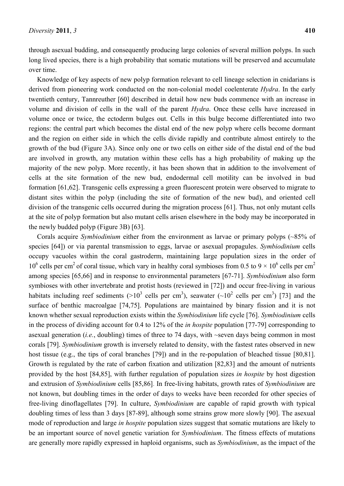through asexual budding, and consequently producing large colonies of several million polyps. In such long lived species, there is a high probability that somatic mutations will be preserved and accumulate over time.

Knowledge of key aspects of new polyp formation relevant to cell lineage selection in cnidarians is derived from pioneering work conducted on the non-colonial model coelenterate *Hydra*. In the early twentieth century, Tannreuther [60] described in detail how new buds commence with an increase in volume and division of cells in the wall of the parent *Hydra*. Once these cells have increased in volume once or twice, the ectoderm bulges out. Cells in this bulge become differentiated into two regions: the central part which becomes the distal end of the new polyp where cells become dormant and the region on either side in which the cells divide rapidly and contribute almost entirely to the growth of the bud (Figure 3A). Since only one or two cells on either side of the distal end of the bud are involved in growth, any mutation within these cells has a high probability of making up the majority of the new polyp. More recently, it has been shown that in addition to the involvement of cells at the site formation of the new bud, endodermal cell motility can be involved in bud formation [61,62]. Transgenic cells expressing a green fluorescent protein were observed to migrate to distant sites within the polyp (including the site of formation of the new bud), and oriented cell division of the transgenic cells occurred during the migration process [61]. Thus, not only mutant cells at the site of polyp formation but also mutant cells arisen elsewhere in the body may be incorporated in the newly budded polyp (Figure 3B) [63].

Corals acquire *Symbiodinium* either from the environment as larvae or primary polyps (~85% of species [64]) or via parental transmission to eggs, larvae or asexual propagules. *Symbiodinium* cells occupy vacuoles within the coral gastroderm, maintaining large population sizes in the order of  $10^6$  cells per cm<sup>2</sup> of coral tissue, which vary in healthy coral symbioses from 0.5 to 9  $\times$  10<sup>6</sup> cells per cm<sup>2</sup> among species [65,66] and in response to environmental parameters [67-71]. *Symbiodinium* also form symbioses with other invertebrate and protist hosts (reviewed in [72]) and occur free-living in various habitats including reef sediments ( $>10^3$  cells per cm<sup>3</sup>), seawater ( $\sim 10^2$  cells per cm<sup>3</sup>) [73] and the surface of benthic macroalgae [74,75]. Populations are maintained by binary fission and it is not known whether sexual reproduction exists within the *Symbiodinium* life cycle [76]. *Symbiodinium* cells in the process of dividing account for 0.4 to 12% of the *in hospite* population [77-79] corresponding to asexual generation (*i.e.*, doubling) times of three to 74 days, with ~seven days being common in most corals [79]. *Symbiodinium* growth is inversely related to density, with the fastest rates observed in new host tissue (e.g., the tips of coral branches [79]) and in the re-population of bleached tissue [80,81]. Growth is regulated by the rate of carbon fixation and utilization [82,83] and the amount of nutrients provided by the host [84,85], with further regulation of population sizes *in hospite* by host digestion and extrusion of *Symbiodinium* cells [85,86]. In free-living habitats, growth rates of *Symbiodinium* are not known, but doubling times in the order of days to weeks have been recorded for other species of free-living dinoflagellates [79]. In culture, *Symbiodinium* are capable of rapid growth with typical doubling times of less than 3 days [87-89], although some strains grow more slowly [90]. The asexual mode of reproduction and large *in hospite* population sizes suggest that somatic mutations are likely to be an important source of novel genetic variation for *Symbiodinium*. The fitness effects of mutations are generally more rapidly expressed in haploid organisms, such as *Symbiodinium*, as the impact of the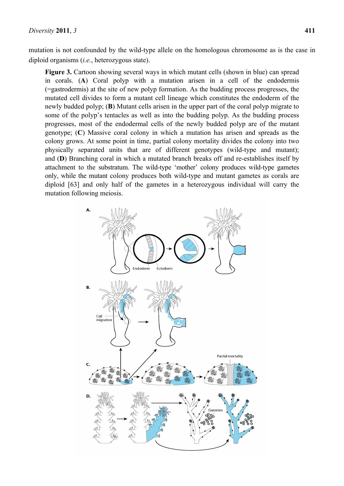mutation is not confounded by the wild-type allele on the homologous chromosome as is the case in diploid organisms (*i.e.*, heterozygous state).

**Figure 3.** Cartoon showing several ways in which mutant cells (shown in blue) can spread in corals. (**A**) Coral polyp with a mutation arisen in a cell of the endodermis (=gastrodermis) at the site of new polyp formation. As the budding process progresses, the mutated cell divides to form a mutant cell lineage which constitutes the endoderm of the newly budded polyp; (**B**) Mutant cells arisen in the upper part of the coral polyp migrate to some of the polyp's tentacles as well as into the budding polyp. As the budding process progresses, most of the endodermal cells of the newly budded polyp are of the mutant genotype; (**C**) Massive coral colony in which a mutation has arisen and spreads as the colony grows. At some point in time, partial colony mortality divides the colony into two physically separated units that are of different genotypes (wild-type and mutant); and (**D**) Branching coral in which a mutated branch breaks off and re-establishes itself by attachment to the substratum. The wild-type 'mother' colony produces wild-type gametes only, while the mutant colony produces both wild-type and mutant gametes as corals are diploid [63] and only half of the gametes in a heterozygous individual will carry the mutation following meiosis.

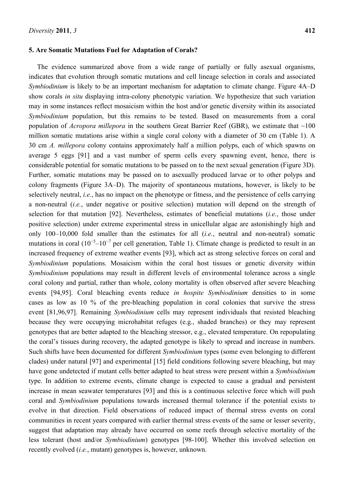#### **5. Are Somatic Mutations Fuel for Adaptation of Corals?**

The evidence summarized above from a wide range of partially or fully asexual organisms, indicates that evolution through somatic mutations and cell lineage selection in corals and associated *Symbiodinium* is likely to be an important mechanism for adaptation to climate change. Figure 4A–D show corals *in situ* displaying intra-colony phenotypic variation. We hypothesize that such variation may in some instances reflect mosaicism within the host and/or genetic diversity within its associated *Symbiodinium* population, but this remains to be tested. Based on measurements from a coral population of *Acropora millepora* in the southern Great Barrier Reef (GBR), we estimate that ~100 million somatic mutations arise within a single coral colony with a diameter of 30 cm (Table 1). A 30 cm *A. millepora* colony contains approximately half a million polyps, each of which spawns on average 5 eggs [91] and a vast number of sperm cells every spawning event, hence, there is considerable potential for somatic mutations to be passed on to the next sexual generation (Figure 3D). Further, somatic mutations may be passed on to asexually produced larvae or to other polyps and colony fragments (Figure 3A–D). The majority of spontaneous mutations, however, is likely to be selectively neutral, *i.e.*, has no impact on the phenotype or fitness, and the persistence of cells carrying a non-neutral (*i.e.*, under negative or positive selection) mutation will depend on the strength of selection for that mutation [92]. Nevertheless, estimates of beneficial mutations (*i.e.*, those under positive selection) under extreme experimental stress in unicellular algae are astonishingly high and only 100–10,000 fold smaller than the estimates for all (*i.e.*, neutral and non-neutral) somatic mutations in coral  $(10^{-5}$ - $10^{-7}$  per cell generation, Table 1). Climate change is predicted to result in an increased frequency of extreme weather events [93], which act as strong selective forces on coral and *Symbiodinium* populations. Mosaicism within the coral host tissues or genetic diversity within *Symbiodinium* populations may result in different levels of environmental tolerance across a single coral colony and partial, rather than whole, colony mortality is often observed after severe bleaching events [94,95]. Coral bleaching events reduce *in hospite Symbiodinium* densities to in some cases as low as 10 % of the pre-bleaching population in coral colonies that survive the stress event [81,96,97]. Remaining *Symbiodinium* cells may represent individuals that resisted bleaching because they were occupying microhabitat refuges (e.g., shaded branches) or they may represent genotypes that are better adapted to the bleaching stressor, e.g., elevated temperature. On repopulating the coral's tissues during recovery, the adapted genotype is likely to spread and increase in numbers. Such shifts have been documented for different *Symbiodinium* types (some even belonging to different clades) under natural [97] and experimental [15] field conditions following severe bleaching, but may have gone undetected if mutant cells better adapted to heat stress were present within a *Symbiodinium* type. In addition to extreme events, climate change is expected to cause a gradual and persistent increase in mean seawater temperatures [93] and this is a continuous selective force which will push coral and *Symbiodinium* populations towards increased thermal tolerance if the potential exists to evolve in that direction. Field observations of reduced impact of thermal stress events on coral communities in recent years compared with earlier thermal stress events of the same or lesser severity, suggest that adaptation may already have occurred on some reefs through selective mortality of the less tolerant (host and/or *Symbiodinium*) genotypes [98-100]. Whether this involved selection on recently evolved (*i.e.*, mutant) genotypes is, however, unknown.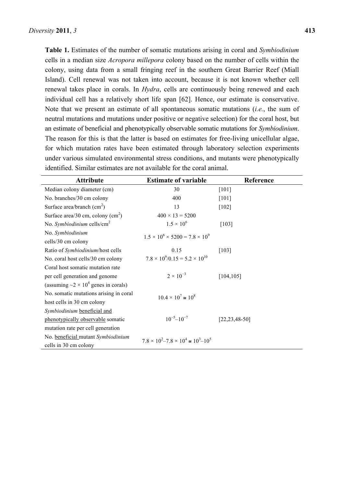**Table 1.** Estimates of the number of somatic mutations arising in coral and *Symbiodinium* cells in a median size *Acropora millepora* colony based on the number of cells within the colony, using data from a small fringing reef in the southern Great Barrier Reef (Miall Island). Cell renewal was not taken into account, because it is not known whether cell renewal takes place in corals. In *Hydra*, cells are continuously being renewed and each individual cell has a relatively short life span [62]. Hence, our estimate is conservative. Note that we present an estimate of all spontaneous somatic mutations (*i.e.*, the sum of neutral mutations and mutations under positive or negative selection) for the coral host, but an estimate of beneficial and phenotypically observable somatic mutations for *Symbiodinium*. The reason for this is that the latter is based on estimates for free-living unicellular algae, for which mutation rates have been estimated through laboratory selection experiments under various simulated environmental stress conditions, and mutants were phenotypically identified. Similar estimates are not available for the coral animal.

| <b>Attribute</b>                                      | <b>Estimate of variable</b>                             | Reference           |
|-------------------------------------------------------|---------------------------------------------------------|---------------------|
| Median colony diameter (cm)                           | 30                                                      | $[101]$             |
| No. branches/30 cm colony                             | 400                                                     | $[101]$             |
| Surface area/branch $(cm2)$                           | 13                                                      | $[102]$             |
| Surface area/30 cm, colony $(cm2)$                    | $400 \times 13 = 5200$                                  |                     |
| No. Symbiodinium cells/ $cm2$                         | $1.5 \times 10^{6}$                                     | $[103]$             |
| No. Symbiodinium                                      | $1.5 \times 10^6 \times 5200 = 7.8 \times 10^9$         |                     |
| cells/30 cm colony                                    |                                                         |                     |
| Ratio of Symbiodinium/host cells                      | 0.15                                                    | $[103]$             |
| No. coral host cells/30 cm colony                     | $7.8 \times 10^9 / 0.15 = 5.2 \times 10^{10}$           |                     |
| Coral host somatic mutation rate                      |                                                         |                     |
| per cell generation and genome                        | $2 \times 10^{-3}$                                      | [104, 105]          |
| (assuming $\sim$ 2 × 10 <sup>4</sup> genes in corals) |                                                         |                     |
| No. somatic mutations arising in coral                | $10.4 \times 10^7 \approx 10^8$                         |                     |
| host cells in 30 cm colony                            |                                                         |                     |
| Symbiodinium beneficial and                           |                                                         |                     |
| phenotypically observable somatic                     | $10^{-5} - 10^{-7}$                                     | $[22, 23, 48 - 50]$ |
| mutation rate per cell generation                     |                                                         |                     |
| No. beneficial mutant Symbiodinium                    | $7.8 \times 10^2 - 7.8 \times 10^4 \approx 10^3 - 10^5$ |                     |
| cells in 30 cm colony                                 |                                                         |                     |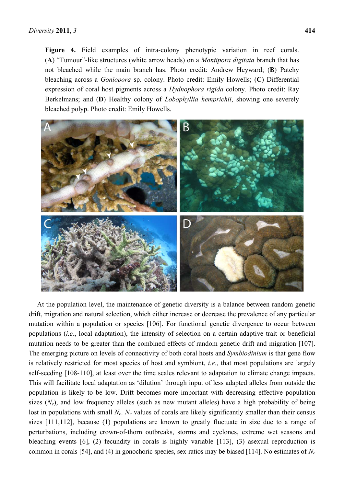Figure 4. Field examples of intra-colony phenotypic variation in reef corals. (**A**) "Tumour"-like structures (white arrow heads) on a *Montipora digitata* branch that has not bleached while the main branch has. Photo credit: Andrew Heyward; (**B**) Patchy bleaching across a *Goniopora* sp. colony. Photo credit: Emily Howells; (**C**) Differential expression of coral host pigments across a *Hydnophora rigida* colony. Photo credit: Ray Berkelmans; and (**D**) Healthy colony of *Lobophyllia hemprichii*, showing one severely bleached polyp. Photo credit: Emily Howells.



At the population level, the maintenance of genetic diversity is a balance between random genetic drift, migration and natural selection, which either increase or decrease the prevalence of any particular mutation within a population or species [106]. For functional genetic divergence to occur between populations (*i.e.*, local adaptation), the intensity of selection on a certain adaptive trait or beneficial mutation needs to be greater than the combined effects of random genetic drift and migration [107]. The emerging picture on levels of connectivity of both coral hosts and *Symbiodinium* is that gene flow is relatively restricted for most species of host and symbiont, *i.e.*, that most populations are largely self-seeding [108-110], at least over the time scales relevant to adaptation to climate change impacts. This will facilitate local adaptation as 'dilution' through input of less adapted alleles from outside the population is likely to be low. Drift becomes more important with decreasing effective population sizes  $(N_e)$ , and low frequency alleles (such as new mutant alleles) have a high probability of being lost in populations with small *N<sub>e</sub>*. *N<sub>e</sub>* values of corals are likely significantly smaller than their census sizes [111,112], because (1) populations are known to greatly fluctuate in size due to a range of perturbations, including crown-of-thorn outbreaks, storms and cyclones, extreme wet seasons and bleaching events [6], (2) fecundity in corals is highly variable [113], (3) asexual reproduction is common in corals [54], and (4) in gonochoric species, sex-ratios may be biased [114]. No estimates of *Ne*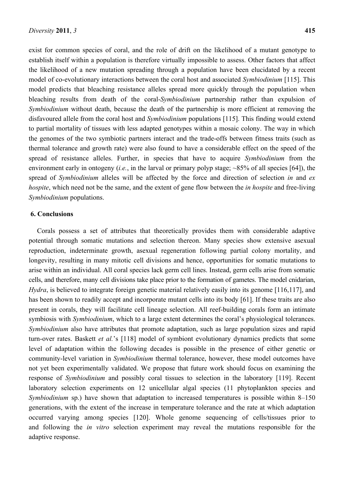exist for common species of coral, and the role of drift on the likelihood of a mutant genotype to establish itself within a population is therefore virtually impossible to assess. Other factors that affect the likelihood of a new mutation spreading through a population have been elucidated by a recent model of co-evolutionary interactions between the coral host and associated *Symbiodinium* [115]. This model predicts that bleaching resistance alleles spread more quickly through the population when bleaching results from death of the coral-*Symbiodinium* partnership rather than expulsion of *Symbiodinium* without death, because the death of the partnership is more efficient at removing the disfavoured allele from the coral host and *Symbiodinium* populations [115]. This finding would extend to partial mortality of tissues with less adapted genotypes within a mosaic colony. The way in which the genomes of the two symbiotic partners interact and the trade-offs between fitness traits (such as thermal tolerance and growth rate) were also found to have a considerable effect on the speed of the spread of resistance alleles. Further, in species that have to acquire *Symbiodinium* from the environment early in ontogeny (*i.e.*, in the larval or primary polyp stage; ~85% of all species [64]), the spread of *Symbiodinium* alleles will be affected by the force and direction of selection *in* and *ex hospite*, which need not be the same, and the extent of gene flow between the *in hospite* and free-living *Symbiodinium* populations.

### **6. Conclusions**

Corals possess a set of attributes that theoretically provides them with considerable adaptive potential through somatic mutations and selection thereon. Many species show extensive asexual reproduction, indeterminate growth, asexual regeneration following partial colony mortality, and longevity, resulting in many mitotic cell divisions and hence, opportunities for somatic mutations to arise within an individual. All coral species lack germ cell lines. Instead, germ cells arise from somatic cells, and therefore, many cell divisions take place prior to the formation of gametes. The model cnidarian, *Hydra*, is believed to integrate foreign genetic material relatively easily into its genome [116,117], and has been shown to readily accept and incorporate mutant cells into its body [61]. If these traits are also present in corals, they will facilitate cell lineage selection. All reef-building corals form an intimate symbiosis with *Symbiodinium*, which to a large extent determines the coral's physiological tolerances. *Symbiodinium* also have attributes that promote adaptation, such as large population sizes and rapid turn-over rates. Baskett *et al.*'s [118] model of symbiont evolutionary dynamics predicts that some level of adaptation within the following decades is possible in the presence of either genetic or community-level variation in *Symbiodinium* thermal tolerance, however, these model outcomes have not yet been experimentally validated. We propose that future work should focus on examining the response of *Symbiodinium* and possibly coral tissues to selection in the laboratory [119]. Recent laboratory selection experiments on 12 unicellular algal species (11 phytoplankton species and *Symbiodinium* sp.) have shown that adaptation to increased temperatures is possible within 8–150 generations, with the extent of the increase in temperature tolerance and the rate at which adaptation occurred varying among species [120]. Whole genome sequencing of cells/tissues prior to and following the *in vitro* selection experiment may reveal the mutations responsible for the adaptive response.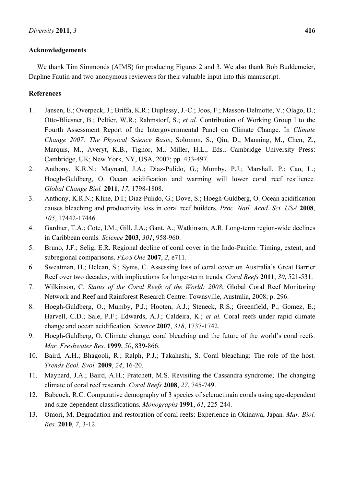## **Acknowledgements**

We thank Tim Simmonds (AIMS) for producing Figures 2 and 3. We also thank Bob Buddemeier, Daphne Fautin and two anonymous reviewers for their valuable input into this manuscript.

# **References**

- 1. Jansen, E.; Overpeck, J.; Briffa, K.R.; Duplessy, J.-C.; Joos, F.; Masson-Delmotte, V.; Olago, D.; Otto-Bliesner, B.; Peltier, W.R.; Rahmstorf, S.; *et al.* Contribution of Working Group I to the Fourth Assessment Report of the Intergovernmental Panel on Climate Change. In *Climate Change 2007: The Physical Science Basis*; Solomon, S., Qin, D., Manning, M., Chen, Z., Marquis, M., Averyt, K.B., Tignor, M., Miller, H.L., Eds.; Cambridge University Press: Cambridge, UK; New York, NY, USA, 2007; pp. 433-497.
- 2. Anthony, K.R.N.; Maynard, J.A.; Diaz-Pulido, G.; Mumby, P.J.; Marshall, P.; Cao, L.; Hoegh-Guldberg, O. Ocean acidification and warming will lower coral reef resilience*. Global Change Biol.* **2011**, *17*, 1798-1808.
- 3. Anthony, K.R.N.; Kline, D.I.; Diaz-Pulido, G.; Dove, S.; Hoegh-Guldberg, O. Ocean acidification causes bleaching and productivity loss in coral reef builders*. Proc. Natl. Acad. Sci. USA* **2008**, *105*, 17442-17446.
- 4. Gardner, T.A.; Cote, I.M.; Gill, J.A.; Gant, A.; Watkinson, A.R. Long-term region-wide declines in Caribbean corals*. Science* **2003**, *301*, 958-960.
- 5. Bruno, J.F.; Selig, E.R. Regional decline of coral cover in the Indo-Pacific: Timing, extent, and subregional comparisons. *PLoS One* **2007**, *2*, e711.
- 6. Sweatman, H.; Delean, S.; Syms, C. Assessing loss of coral cover on Australia's Great Barrier Reef over two decades, with implications for longer-term trends*. Coral Reefs* **2011**, *30*, 521-531.
- 7. Wilkinson, C. *Status of the Coral Reefs of the World: 2008*; Global Coral Reef Monitoring Network and Reef and Rainforest Research Centre: Townsville, Australia, 2008; p. 296.
- 8. Hoegh-Guldberg, O.; Mumby, P.J.; Hooten, A.J.; Steneck, R.S.; Greenfield, P.; Gomez, E.; Harvell, C.D.; Sale, P.F.; Edwards, A.J.; Caldeira, K.; *et al.* Coral reefs under rapid climate change and ocean acidification*. Science* **2007**, *318*, 1737-1742.
- 9. Hoegh-Guldberg, O. Climate change, coral bleaching and the future of the world's coral reefs*. Mar. Freshwater Res.* **1999**, *50*, 839-866.
- 10. Baird, A.H.; Bhagooli, R.; Ralph, P.J.; Takahashi, S. Coral bleaching: The role of the host*. Trends Ecol. Evol.* **2009**, *24*, 16-20.
- 11. Maynard, J.A.; Baird, A.H.; Pratchett, M.S. Revisiting the Cassandra syndrome; The changing climate of coral reef research*. Coral Reefs* **2008**, *27*, 745-749.
- 12. Babcock, R.C. Comparative demography of 3 species of scleractinain corals using age-dependent and size-dependent classifications*. Monographs* **1991**, *61*, 225-244.
- 13. Omori, M. Degradation and restoration of coral reefs: Experience in Okinawa, Japan*. Mar. Biol. Res.* **2010**, *7*, 3-12.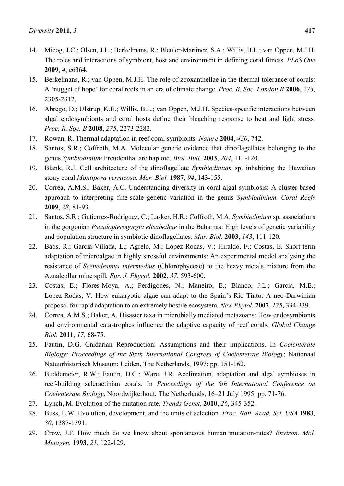- 14. Mieog, J.C.; Olsen, J.L.; Berkelmans, R.; Bleuler-Martinez, S.A.; Willis, B.L.; van Oppen, M.J.H. The roles and interactions of symbiont, host and environment in defining coral fitness*. PLoS One*  **2009**, *4*, e6364.
- 15. Berkelmans, R.; van Oppen, M.J.H. The role of zooxanthellae in the thermal tolerance of corals: A 'nugget of hope' for coral reefs in an era of climate change*. Proc. R. Soc. London B* **2006**, *273*, 2305-2312.
- 16. Abrego, D.; Ulstrup, K.E.; Willis, B.L.; van Oppen, M.J.H. Species-specific interactions between algal endosymbionts and coral hosts define their bleaching response to heat and light stress*. Proc. R. Soc. B* **2008**, *275*, 2273-2282.
- 17. Rowan, R. Thermal adaptation in reef coral symbionts*. Nature* **2004**, *430*, 742.
- 18. Santos, S.R.; Coffroth, M.A. Molecular genetic evidence that dinoflagellates belonging to the genus *Symbiodinium* Freudenthal are haploid*. Biol. Bull.* **2003**, *204*, 111-120.
- 19. Blank, R.J. Cell architecture of the dinoflagellate *Symbiodinium* sp. inhabiting the Hawaiian stony coral *Montipora verrucosa. Mar. Biol.* **1987**, *94*, 143-155.
- 20. Correa, A.M.S.; Baker, A.C. Understanding diversity in coral-algal symbiosis: A cluster-based approach to interpreting fine-scale genetic variation in the genus *Symbiodinium. Coral Reefs*  **2009**, *28*, 81-93.
- 21. Santos, S.R.; Gutierrez-Rodriguez, C.; Lasker, H.R.; Coffroth, M.A. *Symbiodinium* sp. associations in the gorgonian *Pseudopterogorgia elisabethae* in the Bahamas: High levels of genetic variability and population structure in symbiotic dinoflagellates*. Mar. Biol.* **2003**, *143*, 111-120.
- 22. Baos, R.; Garcia-Villada, L.; Agrelo, M.; Lopez-Rodas, V.; Hiraldo, F.; Costas, E. Short-term adaptation of microalgae in highly stressful environments: An experimental model analysing the resistance of *Scenedesmus intermedius* (Chlorophyceae) to the heavy metals mixture from the Aznalcollar mine spill*. Eur. J. Phycol.* **2002**, *37*, 593-600.
- 23. Costas, E.; Flores-Moya, A.; Perdigones, N.; Maneiro, E.; Blanco, J.L.; Garcia, M.E.; Lopez-Rodas, V. How eukaryotic algae can adapt to the Spain's Rio Tinto: A neo-Darwinian proposal for rapid adaptation to an extremely hostile ecosystem*. New Phytol.* **2007**, *175*, 334-339.
- 24. Correa, A.M.S.; Baker, A. Disaster taxa in microbially mediated metazoans: How endosymbionts and environmental catastrophes influence the adaptive capacity of reef corals*. Global Change Biol.* **2011**, *17*, 68-75.
- 25. Fautin, D.G. Cnidarian Reproduction: Assumptions and their implications. In *Coelenterate Biology: Proceedings of the Sixth International Congress of Coelenterate Biology*; Nationaal Natuurhistorisch Museum: Leiden, The Netherlands, 1997; pp. 151-162.
- 26. Buddemeier, R.W.; Fautin, D.G.; Ware, J.R. Acclimation, adaptation and algal symbioses in reef-building scleractinian corals. In *Proceedings of the 6th International Conference on Coelenterate Biology*, Noordwijkerhout, The Netherlands, 16–21 July 1995; pp. 71-76.
- 27. Lynch, M. Evolution of the mutation rate*. Trends Genet.* **2010**, *26*, 345-352.
- 28. Buss, L.W. Evolution, development, and the units of selection*. Proc. Natl. Acad. Sci. USA* **1983**, *80*, 1387-1391.
- 29. Crow, J.F. How much do we know about spontaneous human mutation-rates? *Environ. Mol. Mutagen.* **1993**, *21*, 122-129.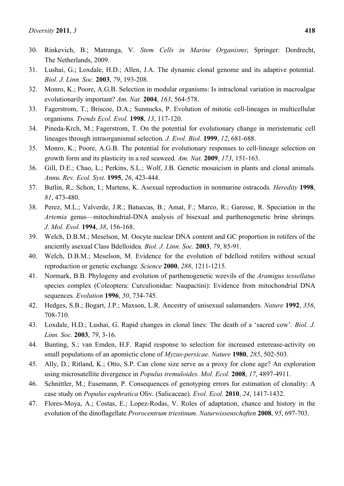- 30. Rinkevich, B.; Matranga, V. *Stem Cells in Marine Organisms*; Springer: Dordrecht, The Netherlands, 2009.
- 31. Lushai, G.; Loxdale, H.D.; Allen, J.A. The dynamic clonal genome and its adaptive potential*. Biol. J. Linn. Soc.* **2003**, *79*, 193-208.
- 32. Monro, K.; Poore, A.G.B. Selection in modular organisms: Is intraclonal variation in macroalgae evolutionarily important? *Am. Nat.* **2004**, *163*, 564-578.
- 33. Fagerstrom, T.; Briscoe, D.A.; Sunnucks, P. Evolution of mitotic cell-lineages in multicellular organisms*. Trends Ecol. Evol.* **1998**, *13*, 117-120.
- 34. Pineda-Krch, M.; Fagerstrom, T. On the potential for evolutionary change in meristematic cell lineages through intraorganismal selection*. J. Evol. Biol.* **1999**, *12*, 681-688.
- 35. Monro, K.; Poore, A.G.B. The potential for evolutionary responses to cell-lineage selection on growth form and its plasticity in a red seaweed*. Am. Nat.* **2009**, *173*, 151-163.
- 36. Gill, D.E.; Chao, L.; Perkins, S.L.; Wolf, J.B. Genetic mosaicism in plants and clonal animals*. Annu. Rev. Ecol. Syst.* **1995**, *26*, 423-444.
- 37. Butlin, R.; Schon, I.; Martens, K. Asexual reproduction in nonmarine ostracods*. Heredity* **1998**, *81*, 473-480.
- 38. Perez, M.L.; Valverde, J.R.; Batuecas, B.; Amat, F.; Marco, R.; Garesse, R. Speciation in the *Artemia* genus—mitochindrial-DNA analysis of bisexual and parthenogenetic brine shrimps*. J. Mol. Evol.* **1994**, *38*, 156-168.
- 39. Welch, D.B.M.; Meselson, M. Oocyte nuclear DNA content and GC proportion in rotifers of the anciently asexual Class Bdelloidea*. Biol. J. Linn. Soc.* **2003**, *79*, 85-91.
- 40. Welch, D.B.M.; Meselson, M. Evidence for the evolution of bdelloid rotifers without sexual reproduction or genetic exchange*. Science* **2000**, *288*, 1211-1215.
- 41. Normark, B.B. Phylogeny and evolution of parthenogenetic weevils of the *Aramigus tessellatus* species complex (Coleoptera: Curculionidae: Naupactini): Evidence from mitochondrial DNA sequences*. Evolution* **1996**, *50*, 734-745.
- 42. Hedges, S.B.; Bogart, J.P.; Maxson, L.R. Ancestry of unisexual salamanders*. Nature* **1992**, *356*, 708-710.
- 43. Loxdale, H.D.; Lushai, G. Rapid changes in clonal lines: The death of a 'sacred cow'*. Biol. J. Linn. Soc.* **2003**, *79*, 3-16.
- 44. Bunting, S.; van Emden, H.F. Rapid response to selection for increased esterease-activity on small populations of an apomictic clone of *Myzus-persicae. Nature* **1980**, *285*, 502-503.
- 45. Ally, D.; Ritland, K.; Otto, S.P. Can clone size serve as a proxy for clone age? An exploration using microsatellite divergence in *Populus tremuloides*. *Mol. Ecol.* **2008**, *17*, 4897-4911.
- 46. Schnittler, M.; Eusemann, P. Consequences of genotyping errors for estimation of clonality: A case study on *Populus euphratica* Oliv. (Salicaceae)*. Evol. Ecol.* **2010**, *24*, 1417-1432.
- 47. Flores-Moya, A.; Costas, E.; Lopez-Rodas, V. Roles of adaptation, chance and history in the evolution of the dinoflagellate *Prorocentrum triestinum*. *Naturwissenschaften* **2008**, *95*, 697-703.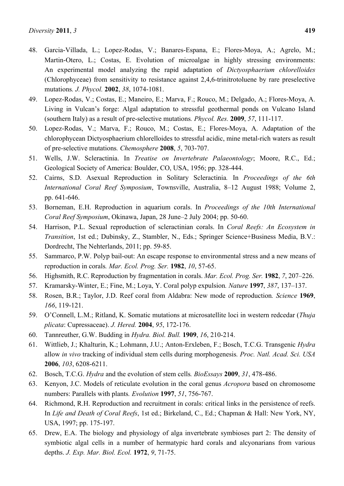- 48. Garcia-Villada, L.; Lopez-Rodas, V.; Banares-Espana, E.; Flores-Moya, A.; Agrelo, M.; Martin-Otero, L.; Costas, E. Evolution of microalgae in highly stressing environments: An experimental model analyzing the rapid adaptation of *Dictyosphaerium chlorelloides* (Chlorophyceae) from sensitivity to resistance against 2,4,6-trinitrotoluene by rare preselective mutations*. J. Phycol.* **2002**, *38*, 1074-1081.
- 49. Lopez-Rodas, V.; Costas, E.; Maneiro, E.; Marva, F.; Rouco, M.; Delgado, A.; Flores-Moya, A. Living in Vulcan's forge: Algal adaptation to stressful geothermal ponds on Vulcano Island (southern Italy) as a result of pre-selective mutations*. Phycol. Res.* **2009**, *57*, 111-117.
- 50. Lopez-Rodas, V.; Marva, F.; Rouco, M.; Costas, E.; Flores-Moya, A. Adaptation of the chlorophycean Dictyosphaerium chlorelloides to stressful acidic, mine metal-rich waters as result of pre-selective mutations*. Chemosphere* **2008**, *5*, 703-707.
- 51. Wells, J.W. Scleractinia. In *Treatise on Invertebrate Palaeontology*; Moore, R.C., Ed.; Geological Society of America: Boulder, CO, USA, 1956; pp. 328-444.
- 52. Cairns, S.D. Asexual Reproduction in Solitary Scleractinia*.* In *Proceedings of the 6th International Coral Reef Symposium*, Townsville, Australia, 8–12 August 1988; Volume 2, pp. 641-646.
- 53. Borneman, E.H. Reproduction in aquarium corals. In *Proceedings of the 10th International Coral Reef Symposium*, Okinawa, Japan, 28 June–2 July 2004; pp. 50-60.
- 54. Harrison, P.L. Sexual reproduction of scleractinian corals. In *Coral Reefs: An Ecosystem in Transition*, 1st ed.; Dubinsky, Z., Stambler, N., Eds.; Springer Science+Business Media, B.V.: Dordrecht, The Nehterlands, 2011; pp. 59-85.
- 55. Sammarco, P.W. Polyp bail-out: An escape response to environmental stress and a new means of reproduction in corals*. Mar. Ecol. Prog. Ser.* **1982**, *10*, 57-65.
- 56. Highsmith, R.C. Reproduction by fragmentation in corals. *Mar. Ecol. Prog. Ser.* **1982**, *7*, 207–226.
- 57. Kramarsky-Winter, E.; Fine, M.; Loya, Y. Coral polyp expulsion*. Nature* **1997**, *387*, 137–137.
- 58. Rosen, B.R.; Taylor, J.D. Reef coral from Aldabra: New mode of reproduction*. Science* **1969**, *166*, 119-121.
- 59. O'Connell, L.M.; Ritland, K. Somatic mutations at microsatellite loci in western redcedar (*Thuja plicata*: Cupressaceae). *J. Hered.* **2004**, *95*, 172-176.
- 60. Tannreuther, G.W. Budding in *Hydra. Biol. Bull.* **1909**, *16*, 210-214.
- 61. Wittlieb, J.; Khalturin, K.; Lohmann, J.U.; Anton-Erxleben, F.; Bosch, T.C.G. Transgenic *Hydra* allow *in vivo* tracking of individual stem cells during morphogenesis*. Proc. Natl. Acad. Sci. USA*  **2006**, *103*, 6208-6211.
- 62. Bosch, T.C.G. *Hydra* and the evolution of stem cells*. BioEssays* **2009**, *31*, 478-486.
- 63. Kenyon, J.C. Models of reticulate evolution in the coral genus *Acropora* based on chromosome numbers: Parallels with plants*. Evolution* **1997**, *51*, 756-767.
- 64. Richmond, R.H. Reproduction and recruitment in corals: critical links in the persistence of reefs. In *Life and Death of Coral Reefs*, 1st ed.; Birkeland, C., Ed.; Chapman & Hall: New York, NY, USA, 1997; pp. 175-197.
- 65. Drew, E.A. The biology and physiology of alga invertebrate symbioses part 2: The density of symbiotic algal cells in a number of hermatypic hard corals and alcyonarians from various depths. *J. Exp. Mar. Biol. Ecol.* **1972**, *9*, 71-75.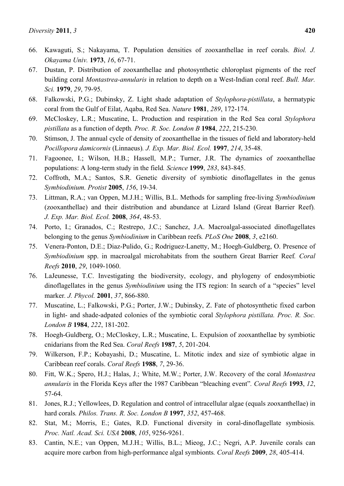- 67. Dustan, P. Distribution of zooxanthellae and photosynthetic chloroplast pigments of the reef building coral *Montastrea-annularis* in relation to depth on a West-Indian coral reef. *Bull. Mar. Sci.* **1979**, *29*, 79-95.
- 68. Falkowski, P.G.; Dubinsky, Z. Light shade adaptation of *Stylophora-pistillata*, a hermatypic coral from the Gulf of Eilat, Aqaba, Red Sea. *Nature* **1981**, *289*, 172-174.
- 69. McCloskey, L.R.; Muscatine, L. Production and respiration in the Red Sea coral *Stylophora pistillata* as a function of depth*. Proc. R. Soc. London B* **1984**, *222*, 215-230.
- 70. Stimson, J. The annual cycle of density of zooxanthellae in the tissues of field and laboratory-held *Pocillopora damicornis* (Linnaeus)*. J. Exp. Mar. Biol. Ecol.* **1997**, *214*, 35-48.
- 71. Fagoonee, I.; Wilson, H.B.; Hassell, M.P.; Turner, J.R. The dynamics of zooxanthellae populations: A long-term study in the field*. Science* **1999**, *283*, 843-845.
- 72. Coffroth, M.A.; Santos, S.R. Genetic diversity of symbiotic dinoflagellates in the genus *Symbiodinium. Protist* **2005**, *156*, 19-34.
- 73. Littman, R.A.; van Oppen, M.J.H.; Willis, B.L. Methods for sampling free-living *Symbiodinium* (zooxanthellae) and their distribution and abundance at Lizard Island (Great Barrier Reef)*. J. Exp. Mar. Biol. Ecol.* **2008**, *364*, 48-53.
- 74. Porto, I.; Granados, C.; Restrepo, J.C.; Sanchez, J.A. Macroalgal-associated dinoflagellates belonging to the genus *Symbiodinium* in Caribbean reefs*. PLoS One* **2008**, *3*, e2160.
- 75. Venera-Ponton, D.E.; Diaz-Pulido, G.; Rodriguez-Lanetty, M.; Hoegh-Guldberg, O. Presence of *Symbiodinium* spp. in macroalgal microhabitats from the southern Great Barrier Reef*. Coral Reefs* **2010**, *29*, 1049-1060.
- 76. LaJeunesse, T.C. Investigating the biodiversity, ecology, and phylogeny of endosymbiotic dinoflagellates in the genus *Symbiodinium* using the ITS region: In search of a "species" level marker*. J. Phycol.* **2001**, *37*, 866-880.
- 77. Muscatine, L.; Falkowski, P.G.; Porter, J.W.; Dubinsky, Z. Fate of photosynthetic fixed carbon in light- and shade-adpated colonies of the symbiotic coral *Stylophora pistillata. Proc. R. Soc. London B* **1984**, *222*, 181-202.
- 78. Hoegh-Guldberg, O.; McCloskey, L.R.; Muscatine, L. Expulsion of zooxanthellae by symbiotic cnidarians from the Red Sea. *Coral Reefs* **1987**, *5*, 201-204.
- 79. Wilkerson, F.P.; Kobayashi, D.; Muscatine, L. Mitotic index and size of symbiotic algae in Caribbean reef corals. *Coral Reefs* **1988**, *7*, 29-36.
- 80. Fitt, W.K.; Spero, H.J.; Halas, J.; White, M.W.; Porter, J.W. Recovery of the coral *Montastrea annularis* in the Florida Keys after the 1987 Caribbean "bleaching event"*. Coral Reefs* **1993**, *12*, 57-64.
- 81. Jones, R.J.; Yellowlees, D. Regulation and control of intracellular algae (equals zooxanthellae) in hard corals*. Philos. Trans. R. Soc. London B* **1997**, *352*, 457-468.
- 82. Stat, M.; Morris, E.; Gates, R.D. Functional diversity in coral-dinoflagellate symbiosis*. Proc. Natl. Acad. Sci. USA* **2008**, *105*, 9256-9261.
- 83. Cantin, N.E.; van Oppen, M.J.H.; Willis, B.L.; Mieog, J.C.; Negri, A.P. Juvenile corals can acquire more carbon from high-performance algal symbionts*. Coral Reefs* **2009**, *28*, 405-414.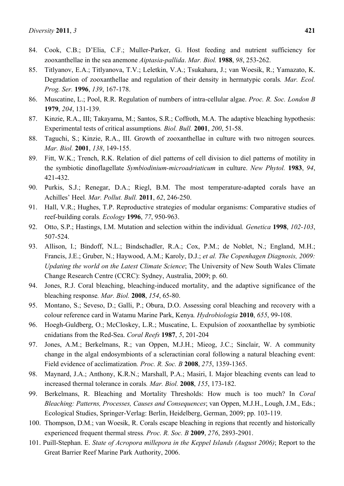- 84. Cook, C.B.; D'Elia, C.F.; Muller-Parker, G. Host feeding and nutrient sufficiency for zooxanthellae in the sea anemone *Aiptasia-pallida*. *Mar. Biol.* **1988**, *98*, 253-262.
- 85. Titlyanov, E.A.; Titlyanova, T.V.; Leletkin, V.A.; Tsukahara, J.; van Woesik, R.; Yamazato, K. Degradation of zooxanthellae and regulation of their density in hermatypic corals*. Mar. Ecol. Prog. Ser.* **1996**, *139*, 167-178.
- 86. Muscatine, L.; Pool, R.R. Regulation of numbers of intra-cellular algae. *Proc. R. Soc. London B*  **1979**, *204*, 131-139.
- 87. Kinzie, R.A., III; Takayama, M.; Santos, S.R.; Coffroth, M.A. The adaptive bleaching hypothesis: Experimental tests of critical assumptions*. Biol. Bull.* **2001**, *200*, 51-58.
- 88. Taguchi, S.; Kinzie, R.A., III. Growth of zooxanthellae in culture with two nitrogen sources*. Mar. Biol.* **2001**, *138*, 149-155.
- 89. Fitt, W.K.; Trench, R.K. Relation of diel patterns of cell division to diel patterns of motility in the symbiotic dinoflagellate *Symbiodinium-microadriaticum* in culture. *New Phytol.* **1983**, *94*, 421-432.
- 90. Purkis, S.J.; Renegar, D.A.; Riegl, B.M. The most temperature-adapted corals have an Achilles' Heel*. Mar. Pollut. Bull.* **2011**, *62*, 246-250.
- 91. Hall, V.R.; Hughes, T.P. Reproductive strategies of modular organisms: Comparative studies of reef-building corals*. Ecology* **1996**, *77*, 950-963.
- 92. Otto, S.P.; Hastings, I.M. Mutation and selection within the individual*. Genetica* **1998**, *102-103*, 507-524.
- 93. Allison, I.; Bindoff, N.L.; Bindschadler, R.A.; Cox, P.M.; de Noblet, N.; England, M.H.; Francis, J.E.; Gruber, N.; Haywood, A.M.; Karoly, D.J.; *et al. The Copenhagen Diagnosis, 2009: Updating the world on the Latest Climate Science*; The University of New South Wales Climate Change Research Centre (CCRC): Sydney, Australia, 2009; p. 60.
- 94. Jones, R.J. Coral bleaching, bleaching-induced mortality, and the adaptive significance of the bleaching response*. Mar. Biol.* **2008**, *154*, 65-80.
- 95. Montano, S.; Seveso, D.; Galli, P.; Obura, D.O. Assessing coral bleaching and recovery with a colour reference card in Watamu Marine Park, Kenya*. Hydrobiologia* **2010**, *655*, 99-108.
- 96. Hoegh-Guldberg, O.; McCloskey, L.R.; Muscatine, L. Expulsion of zooxanthellae by symbiotic cnidatians from the Red-Sea. *Coral Reefs* **1987**, *5*, 201-204
- 97. Jones, A.M.; Berkelmans, R.; van Oppen, M.J.H.; Mieog, J.C.; Sinclair, W. A community change in the algal endosymbionts of a scleractinian coral following a natural bleaching event: Field evidence of acclimatization*. Proc. R. Soc. B* **2008**, *275*, 1359-1365.
- 98. Maynard, J.A.; Anthony, K.R.N.; Marshall, P.A.; Masiri, I. Major bleaching events can lead to increased thermal tolerance in corals*. Mar. Biol.* **2008**, *155*, 173-182.
- 99. Berkelmans, R. Bleaching and Mortality Thresholds: How much is too much? In *Coral Bleaching: Patterns, Processes, Causes and Consequences*; van Oppen, M.J.H., Lough, J.M., Eds.; Ecological Studies, Springer-Verlag: Berlin, Heidelberg, German, 2009; pp. 103-119.
- 100. Thompson, D.M.; van Woesik, R. Corals escape bleaching in regions that recently and historically experienced frequent thermal stress*. Proc. R. Soc. B* **2009**, *276*, 2893-2901.
- 101. Puill-Stephan. E. *State of Acropora millepora in the Keppel Islands (August 2006)*; Report to the Great Barrier Reef Marine Park Authority, 2006.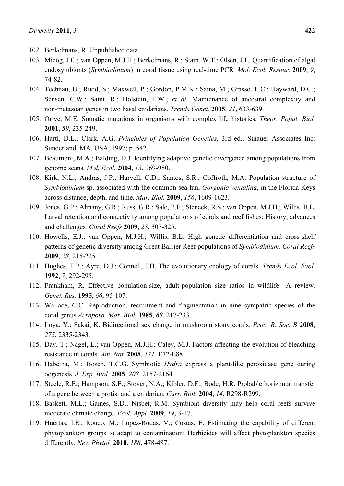- 102. Berkelmans, R. Unpublished data.
- 103. Mieog, J.C.; van Oppen, M.J.H.; Berkelmans, R.; Stam, W.T.; Olsen, J.L. Quantification of algal endosymbionts (*Symbiodinium*) in coral tissue using real-time PCR*. Mol. Ecol. Resour.* **2009**, *9*, 74-82.
- 104. Technau, U.; Rudd, S.; Maxwell, P.; Gordon, P.M.K.; Saina, M.; Grasso, L.C.; Hayward, D.C.; Sensen, C.W.; Saint, R.; Holstein, T.W.; *et al.* Maintenance of ancestral complexity and non-metazoan genes in two basal cnidarians*. Trends Genet.* **2005**, *21*, 633-639.
- 105. Orive, M.E. Somatic mutations in organisms with complex life histories*. Theor. Popul. Biol.*  **2001**, *59*, 235-249.
- 106. Hartl, D.L.; Clark, A.G. *Principles of Population Genetics*, 3rd ed.; Sinauer Associates Inc: Sunderland, MA, USA, 1997; p. 542.
- 107. Beaumont, M.A.; Balding, D.J. Identifying adaptive genetic divergence among populations from genome scans*. Mol. Ecol.* **2004**, *13*, 969-980.
- 108. Kirk, N.L.; Andras, J.P.; Harvell, C.D.; Santos, S.R.; Coffroth, M.A. Population structure of *Symbiodinium* sp. associated with the common sea fan, *Gorgonia ventalina*, in the Florida Keys across distance, depth, and time*. Mar. Biol.* **2009**, *156*, 1609-1623.
- 109. Jones, G.P.; Almany, G.R.; Russ, G.R.; Sale, P.F.; Steneck, R.S.; van Oppen, M.J.H.; Willis, B.L. Larval retention and connectivity among populations of corals and reef fishes: History, advances and challenges*. Coral Reefs* **2009**, *28*, 307-325.
- 110. Howells, E.J.; van Oppen, M.J.H.; Willis, B.L. High genetic differentiation and cross-shelf patterns of genetic diversity among Great Barrier Reef populations of *Symbiodinium. Coral Reefs*  **2009**, *28*, 215-225.
- 111. Hughes, T.P.; Ayre, D.J.; Connell, J.H. The evolutionary ecology of corals*. Trends Ecol. Evol.*  **1992**, *7*, 292-295.
- 112. Frankham, R. Effective population-size, adult-population size ratios in wildlife—A review. *Genet. Res.* **1995**, *66*, 95-107.
- 113. Wallace, C.C. Reproduction, recruitment and fragmentation in nine sympatric species of the coral genus *Acropora. Mar. Biol.* **1985**, *88*, 217-233.
- 114. Loya, Y.; Sakai, K. Bidirectional sex change in mushroom stony corals*. Proc. R. Soc. B* **2008**, *275*, 2335-2343.
- 115. Day, T.; Nagel, L.; van Oppen, M.J.H.; Caley, M.J. Factors affecting the evolution of bleaching resistance in corals*. Am. Nat.* **2008**, *171*, E72-E88.
- 116. Habetha, M.; Bosch, T.C.G. Symbiotic *Hydra* express a plant-like peroxidase gene during oogenesis*. J. Exp. Biol.* **2005**, *208*, 2157-2164.
- 117. Steele, R.E.; Hampson, S.E.; Stover, N.A.; Kibler, D.F.; Bode, H.R. Probable horizontal transfer of a gene between a protist and a cnidarian*. Curr. Biol.* **2004**, *14*, R298-R299.
- 118. Baskett, M.L.; Gaines, S.D.; Nisbet, R.M. Symbiont diversity may help coral reefs survive moderate climate change*. Ecol. Appl.* **2009**, *19*, 3-17.
- 119. Huertas, I.E.; Rouco, M.; Lopez-Rodas, V.; Costas, E. Estimating the capability of different phytoplankton groups to adapt to contamination: Herbicides will affect phytoplankton species differently*. New Phytol.* **2010**, *188*, 478-487.